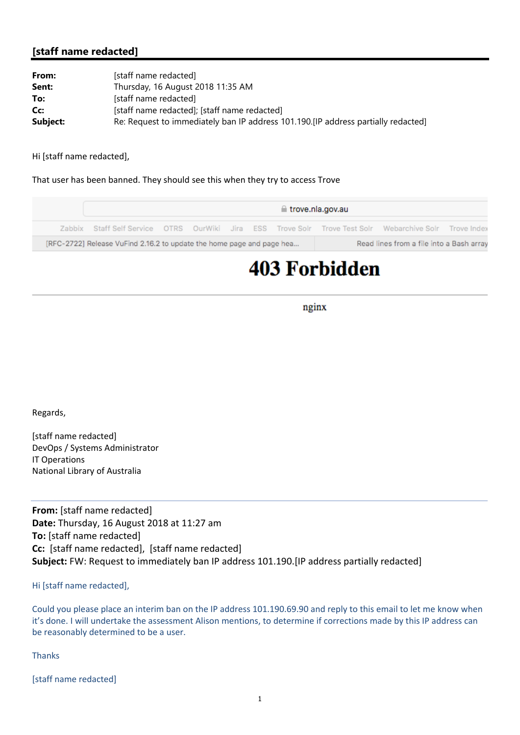## **[staff name redacted]**

| From:    | [staff name redacted]                                                              |
|----------|------------------------------------------------------------------------------------|
| Sent:    | Thursday, 16 August 2018 11:35 AM                                                  |
| To:      | [staff name redacted]                                                              |
| Cc:      | [staff name redacted]; [staff name redacted]                                       |
| Subject: | Re: Request to immediately ban IP address 101.190. [IP address partially redacted] |

Hi [staff name redacted],

That user has been banned. They should see this when they try to access Trove



## **403 Forbidden**

nginx

Regards,

[staff name redacted] DevOps / Systems Administrator IT Operations National Library of Australia

**From:** [staff name redacted] **Date:** Thursday, 16 August 2018 at 11:27 am **To:** [staff name redacted] **Cc:** [staff name redacted], [staff name redacted] **Subject:** FW: Request to immediately ban IP address 101.190.[IP address partially redacted]

Hi [staff name redacted],

Could you please place an interim ban on the IP address 101.190.69.90 and reply to this email to let me know when it's done. I will undertake the assessment Alison mentions, to determine if corrections made by this IP address can be reasonably determined to be a user.

Thanks

[staff name redacted]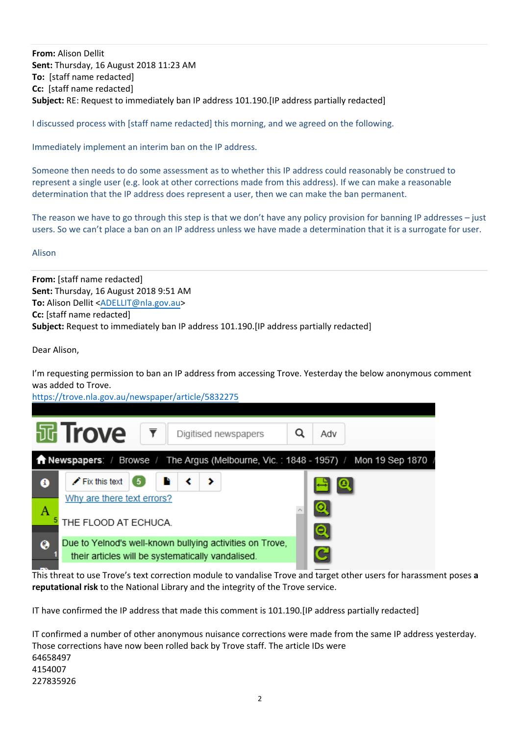**From:** Alison Dellit **Sent:** Thursday, 16 August 2018 11:23 AM **To:** [staff name redacted] **Cc:** [staff name redacted] **Subject:** RE: Request to immediately ban IP address 101.190.[IP address partially redacted]

I discussed process with [staff name redacted] this morning, and we agreed on the following.

Immediately implement an interim ban on the IP address.

Someone then needs to do some assessment as to whether this IP address could reasonably be construed to represent a single user (e.g. look at other corrections made from this address). If we can make a reasonable determination that the IP address does represent a user, then we can make the ban permanent.

The reason we have to go through this step is that we don't have any policy provision for banning IP addresses – just users. So we can't place a ban on an IP address unless we have made a determination that it is a surrogate for user.

## Alison

**From:** [staff name redacted] **Sent:** Thursday, 16 August 2018 9:51 AM **To:** Alison Dellit <ADELLIT@nla.gov.au> **Cc:** [staff name redacted] **Subject:** Request to immediately ban IP address 101.190.[IP address partially redacted]

Dear Alison,

I'm requesting permission to ban an IP address from accessing Trove. Yesterday the below anonymous comment was added to Trove.

https://trove.nla.gov.au/newspaper/article/5832275

|                                                                                                               | <b>园 Trove</b>                                     | Digitised newspapers                                     |  | Adv |  |  |  |
|---------------------------------------------------------------------------------------------------------------|----------------------------------------------------|----------------------------------------------------------|--|-----|--|--|--|
| <b><math>\bigcap</math> Newspapers:</b> / Browse / The Argus (Melbourne, Vic.: 1848 - 1957) / Mon 19 Sep 1870 |                                                    |                                                          |  |     |  |  |  |
| ❸                                                                                                             | $\blacktriangleright$ Fix this text<br>-5          |                                                          |  |     |  |  |  |
| A                                                                                                             | Why are there text errors?<br>THE FLOOD AT ECHUCA. |                                                          |  | Q   |  |  |  |
| ଭ                                                                                                             | their articles will be systematically vandalised.  | Due to Yelnod's well-known bullying activities on Trove, |  |     |  |  |  |

This threat to use Trove's text correction module to vandalise Trove and target other users for harassment poses **a reputational risk** to the National Library and the integrity of the Trove service.

IT have confirmed the IP address that made this comment is 101.190.[IP address partially redacted]

IT confirmed a number of other anonymous nuisance corrections were made from the same IP address yesterday. Those corrections have now been rolled back by Trove staff. The article IDs were 64658497 4154007 227835926